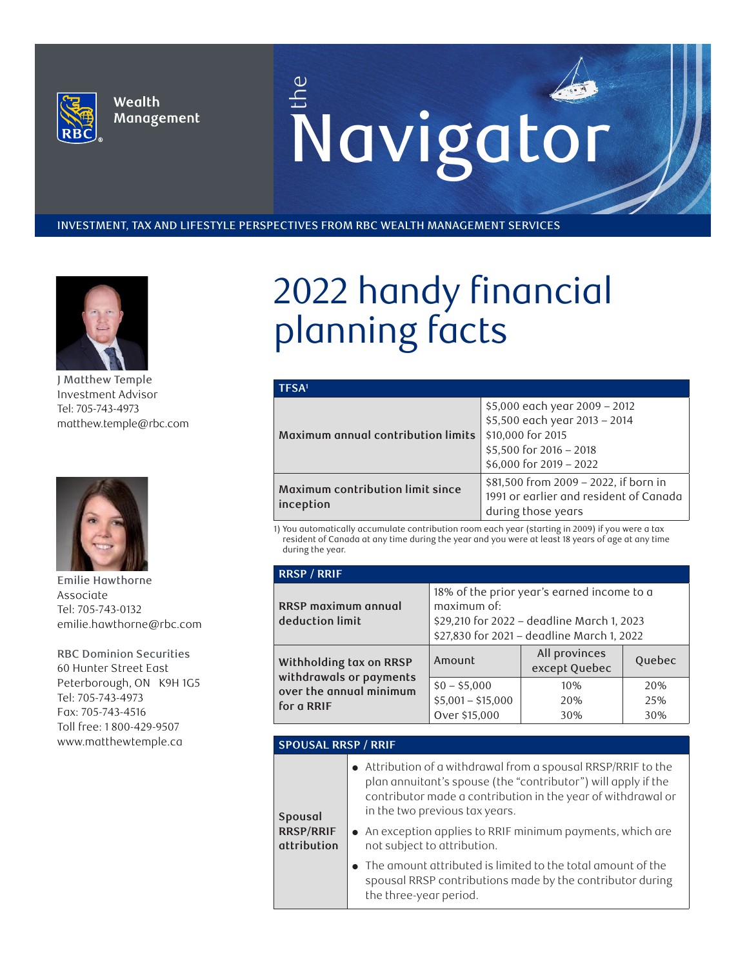

Wealth Management Enavigator

INVESTMENT, TAX AND LIFESTYLE PERSPECTIVES FROM RBC WEALTH MANAGEMENT SERVICES



**J Matthew Temple Investment Advisor Tel: 705-743-4973 matthew.temple@rbc.com**



**Emilie Hawthorne Associate Tel: 705-743-0132 emilie.hawthorne@rbc.com**

**RBC Dominion Securities 60 Hunter Street East Peterborough, ON K9H 1G5 Tel: 705-743-4973 Fax: 705-743-4516 Toll free: 1 800-429-9507 www.matthewtemple.ca**

## 2022 handy financial planning facts

| TFSA <sup>1</sup>                             |                                                                                                                                           |  |  |
|-----------------------------------------------|-------------------------------------------------------------------------------------------------------------------------------------------|--|--|
| Maximum annual contribution limits            | \$5,000 each year 2009 - 2012<br>\$5,500 each year 2013 - 2014<br>\$10,000 for 2015<br>\$5,500 for 2016 - 2018<br>\$6,000 for 2019 - 2022 |  |  |
| Maximum contribution limit since<br>inception | \$81,500 from 2009 - 2022, if born in<br>1991 or earlier and resident of Canada<br>during those years                                     |  |  |

1) You automatically accumulate contribution room each year (starting in 2009) if you were a tax resident of Canada at any time during the year and you were at least 18 years of age at any time during the year.

| <b>RRSP / RRIF</b>                                 |                                                                                                                                                       |                                |                   |
|----------------------------------------------------|-------------------------------------------------------------------------------------------------------------------------------------------------------|--------------------------------|-------------------|
| <b>RRSP</b> maximum annual<br>deduction limit      | 18% of the prior year's earned income to a<br>maximum of:<br>\$29,210 for 2022 - deadline March 1, 2023<br>\$27,830 for 2021 - deadline March 1, 2022 |                                |                   |
| Withholding tax on RRSP<br>withdrawals or payments | Amount                                                                                                                                                | All provinces<br>except Quebec | Quebec            |
| over the annual minimum<br>for a RRIF              | $$0 - $5,000$<br>$$5,001 - $15,000$<br>Over \$15,000                                                                                                  | 10%<br>20%<br>30%              | 20%<br>25%<br>30% |

## **SPOUSAL RRSP / RRIF**

**Spousal** 

| $\bullet$ Attribution of a withdrawal from a spousal RRSP/RRIF to the |
|-----------------------------------------------------------------------|
| plan annuitant's spouse (the "contributor") will apply if the         |
| contributor made a contribution in the year of withdrawal or          |
| in the two previous tax years.                                        |

**RRSP/RRIF attribution** ● An exception applies to RRIF minimum payments, which are not subject to attribution.

> ● The amount attributed is limited to the total amount of the spousal RRSP contributions made by the contributor during the three-year period.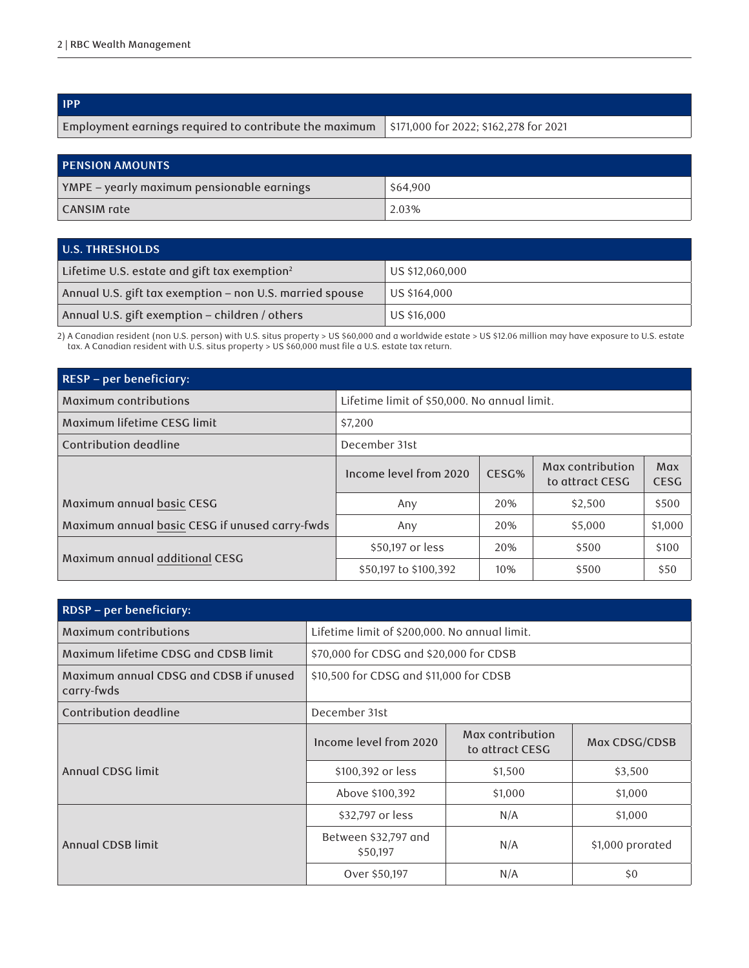| <b>IPP</b>                                                                                      |  |
|-------------------------------------------------------------------------------------------------|--|
| Employment earnings required to contribute the maximum   \$171,000 for 2022; \$162,278 for 2021 |  |

| <b>PENSION AMOUNTS</b>                     |          |  |
|--------------------------------------------|----------|--|
| YMPE – yearly maximum pensionable earnings | \$64,900 |  |
| CANSIM rate                                | 2.03%    |  |

| <b>U.S. THRESHOLDS</b>                                   |                 |  |
|----------------------------------------------------------|-----------------|--|
| Lifetime U.S. estate and gift tax exemption <sup>2</sup> | US \$12,060,000 |  |
| Annual U.S. gift tax exemption - non U.S. married spouse | US \$164,000    |  |
| Annual U.S. gift exemption - children / others           | US \$16,000     |  |

2) A Canadian resident (non U.S. person) with U.S. situs property > US \$60,000 and a worldwide estate > US \$12.06 million may have exposure to U.S. estate tax. A Canadian resident with U.S. situs property > US \$60,000 must file a U.S. estate tax return.

| RESP - per beneficiary:                        |                                              |       |                                     |                    |
|------------------------------------------------|----------------------------------------------|-------|-------------------------------------|--------------------|
| Maximum contributions                          | Lifetime limit of \$50,000. No annual limit. |       |                                     |                    |
| Maximum lifetime CESG limit                    | \$7,200                                      |       |                                     |                    |
| Contribution deadline                          | December 31st                                |       |                                     |                    |
|                                                | Income level from 2020                       | CESG% | Max contribution<br>to attract CESG | Max<br><b>CESG</b> |
| Maximum annual basic CESG                      | Any                                          | 20%   | \$2,500                             | \$500              |
| Maximum annual basic CESG if unused carry-fwds | Any                                          | 20%   | \$5,000                             | \$1,000            |
| Maximum annual additional CESG                 | \$50,197 or less                             | 20%   | \$500                               | \$100              |
|                                                | \$50,197 to \$100,392                        | 10%   | \$500                               | \$50               |

| RDSP - per beneficiary:                              |                                         |                                               |                  |  |
|------------------------------------------------------|-----------------------------------------|-----------------------------------------------|------------------|--|
| Maximum contributions                                |                                         | Lifetime limit of \$200,000. No annual limit. |                  |  |
| Maximum lifetime CDSG and CDSB limit                 | \$70,000 for CDSG and \$20,000 for CDSB |                                               |                  |  |
| Maximum annual CDSG and CDSB if unused<br>carry-fwds | \$10,500 for CDSG and \$11,000 for CDSB |                                               |                  |  |
| Contribution deadline                                | December 31st                           |                                               |                  |  |
|                                                      | Income level from 2020                  | Max contribution<br>to attract CESG           | Max CDSG/CDSB    |  |
| Annual CDSG limit                                    | \$100,392 or less                       | \$1,500                                       | \$3,500          |  |
|                                                      | Above \$100,392                         | \$1,000                                       | \$1,000          |  |
|                                                      | \$32,797 or less                        | N/A                                           | \$1,000          |  |
| Annual CDSB limit                                    | Between \$32,797 and<br>\$50,197        | N/A                                           | \$1,000 prorated |  |
|                                                      | Over \$50,197                           | N/A                                           | \$0              |  |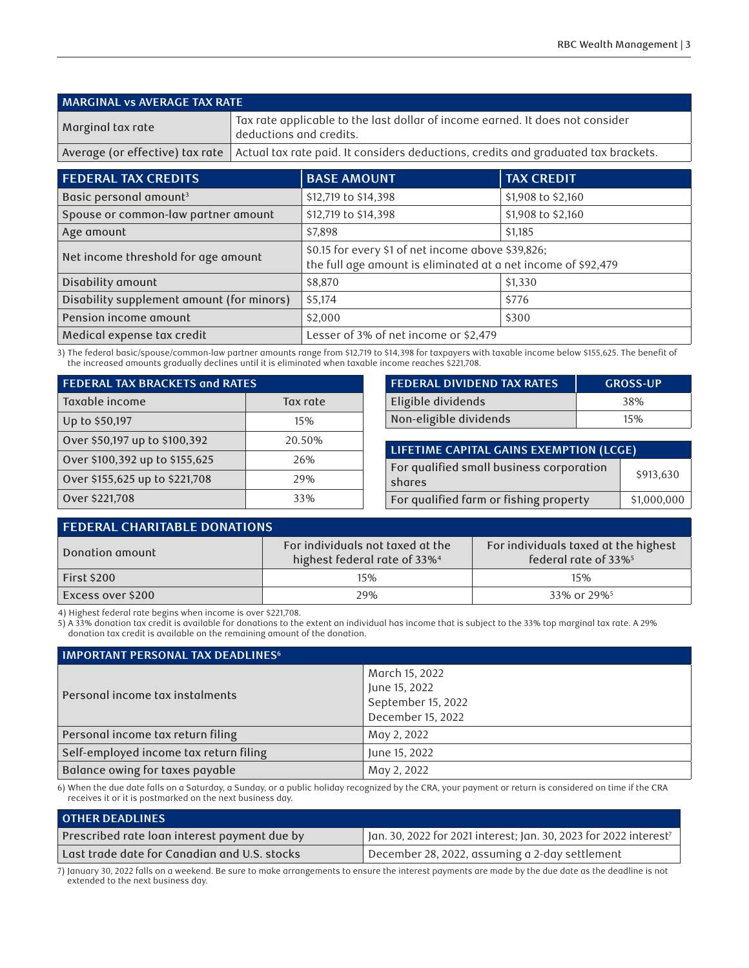| MARGINAL vs AVERAGE TAX RATE |                                                                                                                      |  |
|------------------------------|----------------------------------------------------------------------------------------------------------------------|--|
| Marginal tax rate            | $^\text{!}$ Tax rate applicable to the last dollar of income earned. It does not consider<br>deductions and credits. |  |
|                              | Average (or effective) tax rate   Actual tax rate paid. It considers deductions, credits and graduated tax brackets. |  |

| <b>FEDERAL TAX CREDITS</b>                | <b>BASE AMOUNT</b>                                                                                                  | <b>TAX CREDIT</b>  |
|-------------------------------------------|---------------------------------------------------------------------------------------------------------------------|--------------------|
| Basic personal amount <sup>3</sup>        | \$12,719 to \$14,398                                                                                                | \$1,908 to \$2,160 |
| Spouse or common-law partner amount       | \$12,719 to \$14,398                                                                                                | \$1,908 to \$2,160 |
| Age amount                                | \$7,898                                                                                                             | \$1,185            |
| Net income threshold for age amount       | \$0.15 for every \$1 of net income above \$39,826;<br>the full age amount is eliminated at a net income of \$92,479 |                    |
| Disability amount                         | \$8,870                                                                                                             | \$1,330            |
| Disability supplement amount (for minors) | \$5,174                                                                                                             | \$776              |
| Pension income amount                     | \$2,000                                                                                                             | \$300              |
| Medical expense tax credit                | Lesser of 3% of net income or \$2,479                                                                               |                    |

3) The federal basic/spouse/common-law partner amounts range from \$12,719 to \$14,398 for taxpayers with taxable income below \$155,625. The benefit of the increased amounts gradually declines until it is eliminated when taxable income reaches \$221,708.

| FEDERAL TAX BRACKETS and RATES |          | <b>FEDERAL DIVIDEND TAX RATES</b>        | <b>GROSS-UP</b> |
|--------------------------------|----------|------------------------------------------|-----------------|
| Taxable income                 | Tax rate | Eligible dividends                       | 38%             |
| Up to \$50,197                 | 15%      | Non-eligible dividends                   | 15%             |
| Over \$50,197 up to \$100,392  | 20.50%   | LIFETIME CAPITAL GAINS EXEMPTION (LCGE)  |                 |
| Over \$100,392 up to \$155,625 | 26%      | For qualified small business corporation |                 |
| Over \$155,625 up to \$221,708 | 29%      | shares                                   | \$913,630       |
| Over \$221,708                 | 33%      | For qualified farm or fishing property   | \$1,000,000     |

| <b>FEDERAL CHARITABLE DONATIONS</b> |                                                                              |                                                                          |  |
|-------------------------------------|------------------------------------------------------------------------------|--------------------------------------------------------------------------|--|
| Donation amount                     | For individuals not taxed at the<br>highest federal rate of 33% <sup>4</sup> | For individuals taxed at the highest<br>federal rate of 33% <sup>5</sup> |  |
| <b>First \$200</b>                  | 15%                                                                          | 15%                                                                      |  |
| Excess over \$200                   | 29%                                                                          | 33% or 29% <sup>5</sup>                                                  |  |

4) Highest federal rate begins when income is over \$221,708.

5) A 33% donation tax credit is available for donations to the extent an individual has income that is subject to the 33% top marginal tax rate. A 29% donation tax credit is available on the remaining amount of the donation.

| <b>IMPORTANT PERSONAL TAX DEADLINES<sup>6</sup></b> |                                                                            |  |
|-----------------------------------------------------|----------------------------------------------------------------------------|--|
| Personal income tax instalments                     | March 15, 2022<br>June 15, 2022<br>September 15, 2022<br>December 15, 2022 |  |
| Personal income tax return filing                   | May 2, 2022                                                                |  |
| Self-employed income tax return filing              | June 15, 2022                                                              |  |
| Balance owing for taxes payable                     | May 2, 2022                                                                |  |

6) When the due date falls on a Saturday, a Sunday, or a public holiday recognized by the CRA, your payment or return is considered on time if the CRA receives it or it is postmarked on the next business day.

| <b>OTHER DEADLINES</b>                       |                                                                               |
|----------------------------------------------|-------------------------------------------------------------------------------|
| Prescribed rate loan interest payment due by | Jan. 30, 2022 for 2021 interest; Jan. 30, 2023 for 2022 interest <sup>7</sup> |
| Last trade date for Canadian and U.S. stocks | December 28, 2022, assuming a 2-day settlement                                |

7) January 30, 2022 falls on a weekend. Be sure to make arrangements to ensure the interest payments are made by the due date as the deadline is not extended to the next business day.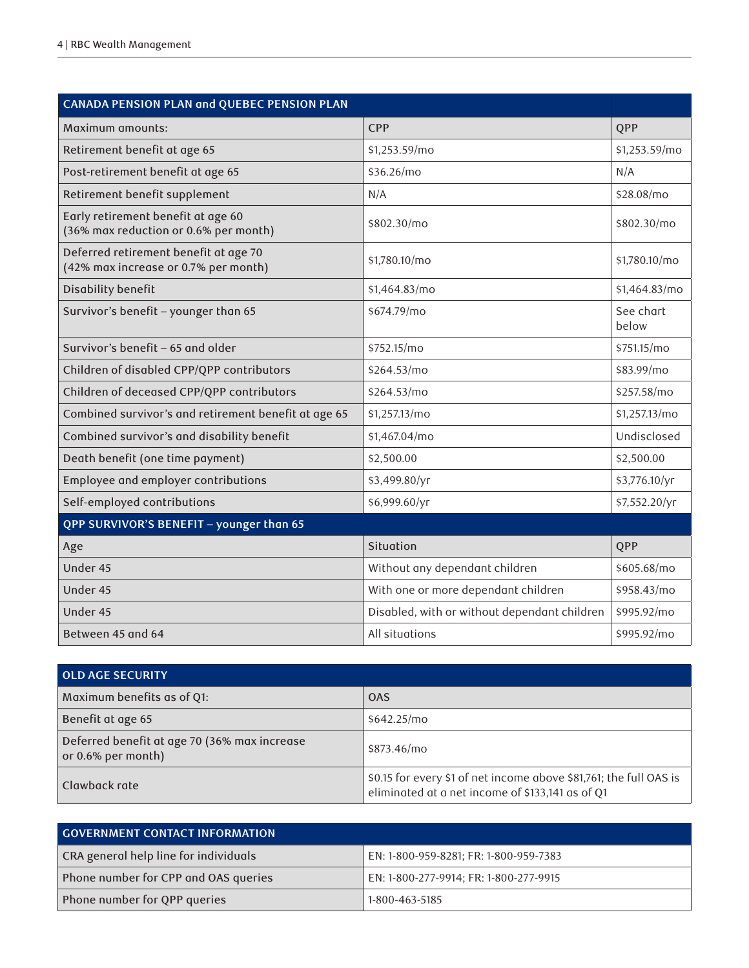| CANADA PENSION PLAN and QUEBEC PENSION PLAN                                   |                                              |                    |  |
|-------------------------------------------------------------------------------|----------------------------------------------|--------------------|--|
| Maximum amounts:                                                              | <b>CPP</b>                                   | <b>QPP</b>         |  |
| Retirement benefit at age 65                                                  | \$1,253.59/mo                                | \$1,253.59/mo      |  |
| Post-retirement benefit at age 65                                             | \$36.26/mo                                   | N/A                |  |
| Retirement benefit supplement                                                 | N/A                                          | \$28.08/mo         |  |
| Early retirement benefit at age 60<br>(36% max reduction or 0.6% per month)   | \$802.30/mo                                  | \$802.30/mo        |  |
| Deferred retirement benefit at age 70<br>(42% max increase or 0.7% per month) | \$1,780.10/mo                                | \$1,780.10/mo      |  |
| Disability benefit                                                            | \$1,464.83/mo                                | \$1,464.83/mo      |  |
| Survivor's benefit - younger than 65                                          | \$674.79/mo                                  | See chart<br>below |  |
| Survivor's benefit - 65 and older                                             | \$752.15/mo                                  | \$751.15/mo        |  |
| Children of disabled CPP/QPP contributors                                     | \$264.53/mo                                  | \$83.99/mo         |  |
| Children of deceased CPP/QPP contributors                                     | \$264.53/mo                                  | \$257.58/mo        |  |
| Combined survivor's and retirement benefit at age 65                          | \$1,257.13/mo                                | \$1,257.13/mo      |  |
| Combined survivor's and disability benefit                                    | \$1,467.04/mo                                | Undisclosed        |  |
| Death benefit (one time payment)                                              | \$2,500.00                                   | \$2,500.00         |  |
| Employee and employer contributions                                           | \$3,499.80/yr                                | \$3,776.10/yr      |  |
| Self-employed contributions                                                   | \$6,999.60/yr                                | \$7,552.20/yr      |  |
| QPP SURVIVOR'S BENEFIT - younger than 65                                      |                                              |                    |  |
| Age                                                                           | Situation                                    | QPP                |  |
| Under 45                                                                      | Without any dependant children               | \$605.68/mo        |  |
| Under 45                                                                      | With one or more dependant children          | \$958.43/mo        |  |
| Under 45                                                                      | Disabled, with or without dependant children | \$995.92/mo        |  |
| Between 45 and 64                                                             | All situations                               | \$995.92/mo        |  |

| <b>OLD AGE SECURITY</b>                                               |                                                                                                                        |  |
|-----------------------------------------------------------------------|------------------------------------------------------------------------------------------------------------------------|--|
| Maximum benefits as of Q1:                                            | <b>OAS</b>                                                                                                             |  |
| Benefit at age 65                                                     | \$642.25/mo                                                                                                            |  |
| Deferred benefit at age 70 (36% max increase<br>or $0.6\%$ per month) | \$873.46/mo                                                                                                            |  |
| Clawback rate                                                         | \$0.15 for every \$1 of net income above \$81,761; the full OAS is<br>eliminated at a net income of \$133,141 as of Q1 |  |

| <b>GOVERNMENT CONTACT INFORMATION</b> |                                        |  |
|---------------------------------------|----------------------------------------|--|
| CRA general help line for individuals | EN: 1-800-959-8281; FR: 1-800-959-7383 |  |
| Phone number for CPP and OAS queries  | EN: 1-800-277-9914; FR: 1-800-277-9915 |  |
| Phone number for QPP queries          | 1-800-463-5185                         |  |